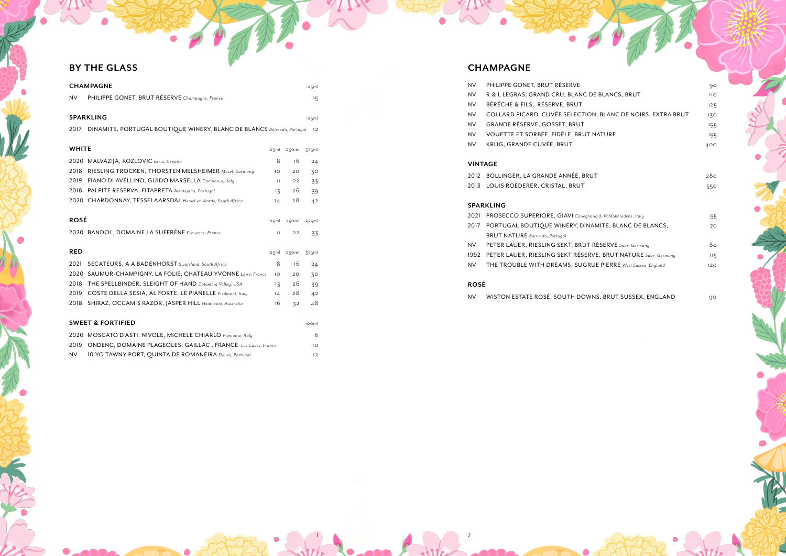NV WISTON ESTATE ROSÉ, SOUTH DOWNS, BRUT SUSSEX, ENGLAND 90

|                                      | 90  |
|--------------------------------------|-----|
| E BLANCS, BRUT                       | 11O |
|                                      | 125 |
| I, BLANC DE NOIRS, EXTRA BRUT        | 130 |
|                                      | 155 |
| IATURE                               | 155 |
|                                      | 400 |
|                                      |     |
|                                      |     |
| т                                    | 280 |
|                                      | 550 |
|                                      |     |
|                                      |     |
| o di Valdobbiadene, Italy            | 55  |
| MITE, BLANC DE BLANCS,               | 70  |
| ESERVE Saar, Germany                 | 80  |
| 'E, BRUT NATURE Saar, Germany        |     |
|                                      | 115 |
| <b>E PIERRE</b> West Sussex, England | 120 |
|                                      |     |
|                                      |     |
|                                      |     |

## **BY THE GLASS CHAMPAGNE**

|              | <b>CHAMPAGNE</b>                                                       |                 |       | 125ml |  |
|--------------|------------------------------------------------------------------------|-----------------|-------|-------|--|
| <b>NV</b>    | PHILIPPE GONET, BRUT RÉSERVE Champagne, France                         |                 |       | 15    |  |
|              |                                                                        |                 |       |       |  |
|              | <b>SPARKLING</b>                                                       |                 |       | 125ml |  |
| 2017         | DINAMITE, PORTUGAL BOUTIQUE WINERY, BLANC DE BLANCS Bairrada, Portugal |                 |       | 12    |  |
|              |                                                                        |                 |       |       |  |
| <b>WHITE</b> |                                                                        | 125ml           | 250ml | 375ml |  |
| 2020         | MALVAZIJA, KOZLOVIC Istria, Croatia                                    | 8               | 16    | 24    |  |
| 2018         | RIESLING TROCKEN, THORSTEN MELSHEIMER Mosel, Germany                   | 10 <sup>°</sup> | 20    | 30    |  |
| 2019         | FIANO DI AVELLINO, GUIDO MARSELLA Campania, Italy                      | 11              | 22    | 33    |  |
| 2018         | PALPITE RESERVA, FITAPRETA Alentejano, Portugal                        | 13              | 26    | 39    |  |
|              | 2020 CHARDONNAY, TESSELAARSDAL Hemel-en-Aarde, South Africa            | 14              | 28    | 42    |  |
|              |                                                                        |                 |       |       |  |
| <b>ROSÉ</b>  |                                                                        | 125ml           | 250ml | 375ml |  |
|              | 2020 BANDOL, DOMAINE LA SUFFRÈNE Provence, France                      | 11              | 22    | 33    |  |
|              |                                                                        |                 |       |       |  |
| <b>RED</b>   |                                                                        | 125ml           | 250ml | 375ml |  |
| 2021         | SECATEURS, A A BADENHORST Swartland, South Africa                      | 8               | 16    | 24    |  |
| 2020         | SAUMUR-CHAMPIGNY, LA FOLIE, CHATEAU YVONNE Loire, France               | 10 <sup>°</sup> | 20    | 30    |  |
| 2018         | THE SPELLBINDER, SLEIGHT OF HAND Columbia Valley, USA                  | $1\overline{5}$ | 26    | 39    |  |
| 2019         | COSTE DELLA SESIA, AL FORTE, LE PIANELLE Piedmont, Italy               | 14              | 28    | 42    |  |
| 2018         | SHIRAZ, OCCAM'S RAZOR, JASPER HILL Heathcote, Australia                | 16              | 32    | 48    |  |
|              |                                                                        |                 |       |       |  |
|              | <b>SWEET &amp; FORTIFIED</b>                                           |                 |       | 100ml |  |
|              | 2020 MOSCATO D'ASTI, NIVOLE, MICHELE CHIARLO Piemonte, Italy           |                 |       | 6     |  |
| 2019         | ONDENC, DOMAINE PLAGEOLES, GAILLAC, FRANCE Les Caves, France           |                 |       | 10    |  |

NV 10 YO TAWNY PORT, QUINTA DE ROMANEIRA *Douro, Portugal* 12

- NV PHILIPPE GONET, BRUT RÉSERVE NV R & L LEGRAS, GRAND CRU, BLANC DE NV BÉRÊCHE & FILS, RÉSERVE, BRUT NV COLLARD PICARD, CUVÉE SELECTION NV GRANDE RÉSERVE, GOSSET, BRUT
- NV VOUETTE ET SORBÉE, FIDÈLE, BRUT N
- NV KRUG, GRANDE CUVÉE, BRUT

## **VINTAGE**

2012 BOLLINGER, LA GRANDE ANNÉE, BRUT 2013 LOUIS ROEDERER, CRISTAL, BRUT

### **SPARKLING**

- 2021 PROSECCO SUPERIORE, GIAVI Conegliano 2017 PORTUGAL BOUTIQUE WINERY, DINAI
- BRUT NATURE *Bairrada, Portugal*
- NV PETER LAUER, RIESLING SEKT, BRUT RÉSERVE *Saar, Germany* 80
- 1992 PETER LAUER, RIESLING SEKT RÉSERVI
- NV THE TROUBLE WITH DREAMS, SUGRU

### **ROSÉ**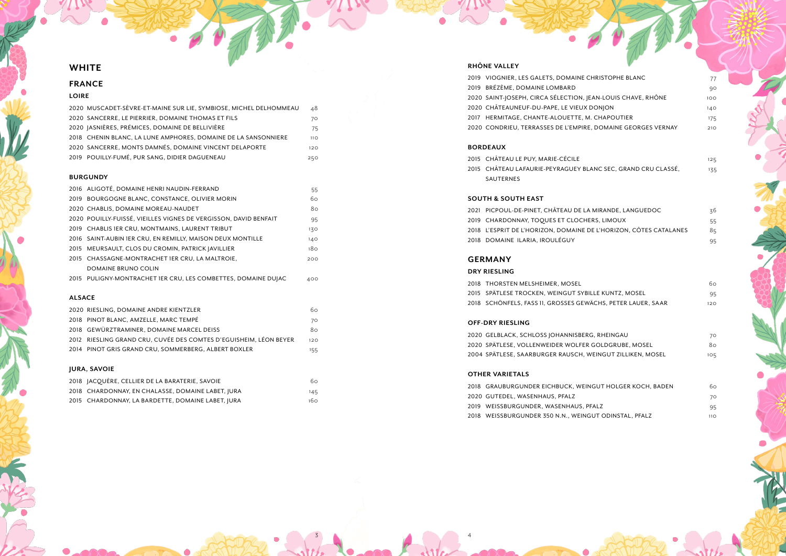2018 GRAUBURGUNDER EICHBUCK, WEING 2020 GUTEDEL, WASENHAUS, PFALZ 2019 WEISSBURGUNDER, WASENHAUS, PFA 2018 WEISSBURGUNDER 350 N.N., WEINGU

| <b>RISTOPHE BLANC</b>  | 77              |
|------------------------|-----------------|
|                        | q               |
| N-LOUIS CHAVE, RHÔNE   | 1OC             |
| NOINC                  | 14 <sup>c</sup> |
| CHAPOUTIER             | 175             |
| DOMAINE GEORGES VERNAY | 21C             |
|                        |                 |
|                        |                 |

| (IRANDE. LANGUEDOC         | 36 |
|----------------------------|----|
| S. LIMOUX                  | 55 |
| L'HORIZON, CÔTES CATALANES | 85 |
|                            | 95 |

|                        | 6с  |
|------------------------|-----|
| LE KUNTZ, MOSEL        | 95  |
| CHS. PETER LAUER. SAAR | 12C |

| , RHEINGAU             | 70  |
|------------------------|-----|
| GOLDGRUBE. MOSEL       | 80  |
| EINGUT ZILLIKEN, MOSEL | 105 |

## **WHITE**

| GUT HOLGER KOCH, BADEN    |      |  |
|---------------------------|------|--|
|                           | 7С   |  |
| \I 7                      | 95   |  |
| <b>JT ODINSTAL, PFALZ</b> | 11 C |  |

## **FRANCE**

### **LOIRE**

| 2020 MUSCADET-SEVRE-ET-MAINE SUR LIE, SYMBIOSE, MICHEL DELHOMMEAU | 48              |
|-------------------------------------------------------------------|-----------------|
| 2020 SANCERRE, LE PIERRIER, DOMAINE THOMAS ET FILS                | 70              |
| 2020   ASNIÈRES, PRÉMICES, DOMAINE DE BELLIVIÈRE                  | 75              |
| 2018 CHENIN BLANC, LA LUNE AMPHORES, DOMAINE DE LA SANSONNIERE    | 11 <sub>O</sub> |
| 2020 SANCERRE, MONTS DAMNÉS, DOMAINE VINCENT DELAPORTE            | 120             |
| 2019 POUILLY-FUMÉ, PUR SANG, DIDIER DAGUENEAU                     | 250             |

### **BURGUNDY**

|               | 2016 ALIGOTÉ, DOMAINE HENRI NAUDIN-FERRAND                       | 55  |  |
|---------------|------------------------------------------------------------------|-----|--|
|               | 2019 BOURGOGNE BLANC, CONSTANCE, OLIVIER MORIN                   | 60  |  |
|               | 2020 CHABLIS, DOMAINE MOREAU-NAUDET                              | 80  |  |
|               | 2020 POUILLY-FUISSÉ, VIEILLES VIGNES DE VERGISSON, DAVID BENFAIT | 95  |  |
|               | 2019 CHABLIS JER CRU. MONTMAINS, LAURENT TRIBUT                  | 130 |  |
|               | 2016 SAINT-AUBIN 1ER CRU, EN REMILLY, MAISON DEUX MONTILLE       | 140 |  |
|               | 2015 MEURSAULT, CLOS DU CROMIN, PATRICK JAVILLIER                | 180 |  |
|               | 2015 CHASSAGNE-MONTRACHET IER CRU, LA MALTROIE,                  | 200 |  |
|               | DOMAINE BRUNO COLIN                                              |     |  |
|               | 2015 PULIGNY-MONTRACHET IER CRU, LES COMBETTES, DOMAINE DUIAC    | 400 |  |
|               |                                                                  |     |  |
| <b>ALSACE</b> |                                                                  |     |  |
|               |                                                                  |     |  |

2015 CHÂTEAU LE PUY, MARIE-CÉCILE 125 2015 CHÂTEAU LAFAURIE-PEYRAGUEY BLANC SEC, GRAND CRU CLASSÉ,  $135$ SAUTERNES

| 2020 RIESLING, DOMAINE ANDRE KIENTZLER                            | 60. |
|-------------------------------------------------------------------|-----|
| 2018 PINOT BLANC, AMZELLE, MARC TEMPÉ                             | 70  |
| 2018 GEWÜRZTRAMINER, DOMAINE MARCEL DEISS                         | 80. |
| 2012 RIESLING GRAND CRU, CUVÉE DES COMTES D'EGUISHEIM, LÉON BEYER | 120 |
| 2014 PINOT GRIS GRAND CRU. SOMMERBERG. ALBERT BOXLER              | 155 |
|                                                                   |     |

### **JURA, SAVOIE**

| 2018   ACQUÈRE, CELLIER DE LA BARATERIE, SAVOIE   | 60.  |
|---------------------------------------------------|------|
| 2018 CHARDONNAY, EN CHALASSE, DOMAINE LABET, JURA | 145  |
| 2015 CHARDONNAY, LA BARDETTE, DOMAINE LABET, JURA | 160. |

## **RHÔNE VALLEY**

2019 VIOGNIER, LES GALETS, DOMAINE CHI 2019 BRÉZÈME, DOMAINE LOMBARD 2020 SAINT-JOSEPH, CIRCA SÉLECTION, JEA 2020 CHÂTEAUNEUF-DU-PAPE, LE VIEUX DO 2017 HERMITAGE, CHANTE-ALOUETTE, M. O 2020 CONDRIEU, TERRASSES DE L'EMPIRE,

### **BORDEAUX**

### **SOUTH & SOUTH EAST**

2021 PICPOUL-DE-PINET, CHÂTEAU DE LA M 2019 CHARDONNAY, TOQUES ET CLOCHER 2018 L'ESPRIT DE L'HORIZON, DOMAINE DE 2018 DOMAINE ILARIA, IROULÉGUY

## **GERMANY**

## **DRY RIESLING**

2018 THORSTEN MELSHEIMER, MOSEL 2015 SPÄTLESE TROCKEN, WEINGUT SYBILI 2018 SCHÖNFELS, FASS 11, GROSSES GEWÄG

### **OFF-DRY RIESLING**

2020 GELBLACK, SCHLOSS JOHANNISBERG, 2020 SPÄTLESE, VOLLENWEIDER WOLFER G 2004 SPÄTLESE, SAARBURGER RAUSCH, WE

### **OTHER VARIETALS**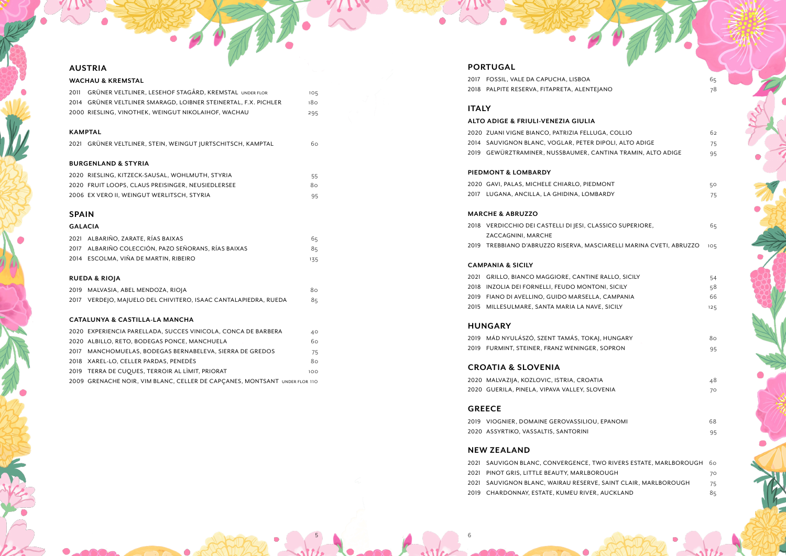- 
- 
- 
- 2019 CHARDONNAY, ESTATE, KUMEU RIVER, AUCKLAND 85

| <b>NO</b> |  |  |  |
|-----------|--|--|--|

## **AUSTRIA**

## **WACHAU & KREMSTAL**

| 2011           | GRÜNER VELTLINER, LESEHOF STAGÅRD, KREMSTAL UNDER FLOR          | 105 |
|----------------|-----------------------------------------------------------------|-----|
|                | 2014 GRÜNER VELTLINER SMARAGD, LOIBNER STEINERTAL, F.X. PICHLER | 180 |
|                | 2000 RIESLING, VINOTHEK, WEINGUT NIKOLAIHOF, WACHAU             | 295 |
|                |                                                                 |     |
|                | <b>KAMPTAL</b>                                                  |     |
|                | 2021 GRÜNER VELTLINER, STEIN, WEINGUT JURTSCHITSCH, KAMPTAL     | 60  |
|                |                                                                 |     |
|                | <b>BURGENLAND &amp; STYRIA</b>                                  |     |
|                | 2020 RIESLING, KITZECK-SAUSAL, WOHLMUTH, STYRIA                 | 55  |
|                | 2020 FRUIT LOOPS, CLAUS PREISINGER, NEUSIEDLERSEE               | 80  |
|                | 2006 EX VERO II, WEINGUT WERLITSCH, STYRIA                      | 95  |
|                |                                                                 |     |
| <b>SPAIN</b>   |                                                                 |     |
| <b>GALACIA</b> |                                                                 |     |
|                | 2021 ALBARIÑO, ZARATE, RÍAS BAIXAS                              | 65  |
| 2017           | ALBARIÑO COLECCIÓN, PAZO SEÑORANS, RÍAS BAIXAS                  | 85  |
|                | 2014 ESCOLMA, VIÑA DE MARTIN, RIBEIRO                           | 135 |
|                |                                                                 |     |
|                | <b>RUEDA &amp; RIOJA</b>                                        |     |
|                | 2019 MALVASIA, ABEL MENDOZA, RIOJA                              | 80  |
|                | 2017 VERDEJO, MAJUELO DEL CHIVITERO, ISAAC CANTALAPIEDRA, RUEDA | 85  |
|                |                                                                 |     |
|                | <b>CATALUNYA &amp; CASTILLA-LA MANCHA</b>                       |     |

## 2020 EXPERIENCIA PARELLADA, SUCCES VINICOLA, CONCA DE BARBERA 40 2020 ALBILLO, RETO, BODEGAS PONCE, MANCHUELA 60 2017 MANCHOMUELAS, BODEGAS BERNABELEVA, SIERRA DE GREDOS 75 2018 XAREL-LO, CELLER PARDAS, PENEDÈS 80 2019 TERRA DE CUQUES, TERROIR AL LIMIT, PRIORAT 2009 GRENACHE NOIR, VIM BLANC, CELLER DE CAPÇANES, MONTSANT UNDER FLOR 110

## **PORTUGAL**

2017 FOSSIL, VALE DA CAPUCHA, LISBOA 65 2018 PALPITE RESERVA, FITAPRETA, ALENTEJANO **1998 1999 1999 1999 1999** 78

| <b>ITALY</b> |                                                                     |     |
|--------------|---------------------------------------------------------------------|-----|
|              | <b>ALTO ADIGE &amp; FRIULI-VENEZIA GIULIA</b>                       |     |
|              | 2020 ZUANI VIGNE BIANCO, PATRIZIA FELLUGA, COLLIO                   | 62  |
|              | 2014 SAUVIGNON BLANC, VOGLAR, PETER DIPOLI, ALTO ADIGE              | 75  |
|              | 2019 GEWÜRZTRAMINER, NUSSBAUMER, CANTINA TRAMIN, ALTO ADIGE         | 95  |
|              | <b>PIEDMONT &amp; LOMBARDY</b>                                      |     |
|              | 2020 GAVI, PALAS, MICHELE CHIARLO, PIEDMONT                         | 50  |
|              | 2017 LUGANA, ANCILLA, LA GHIDINA, LOMBARDY                          | 75  |
|              | <b>MARCHE &amp; ABRUZZO</b>                                         |     |
|              | 2018 VERDICCHIO DEI CASTELLI DI JESI, CLASSICO SUPERIORE,           | 65  |
|              | ZACCAGNINI, MARCHE                                                  |     |
|              | 2019 TREBBIANO D'ABRUZZO RISERVA, MASCIARELLI MARINA CVETI, ABRUZZO | 105 |
|              | <b>CAMPANIA &amp; SICILY</b>                                        |     |
| 2021         | GRILLO, BIANCO MAGGIORE, CANTINE RALLO, SICILY                      | 54  |
| 2018         | INZOLIA DEI FORNELLI, FEUDO MONTONI, SICILY                         | 58  |
|              | 2019 FIANO DI AVELLINO, GUIDO MARSELLA, CAMPANIA                    | 66  |
| 2015         | MILLESULMARE, SANTA MARIA LA NAVE, SICILY                           | 125 |
|              | <b>HUNGARY</b>                                                      |     |
| 2019         | MÁD NYULÁSZÓ, SZENT TAMÁS, TOKAJ, HUNGARY                           | 80  |
|              | 2019 FURMINT, STEINER, FRANZ WENINGER, SOPRON                       | 95  |
|              | <b>CROATIA &amp; SLOVENIA</b>                                       |     |
|              | 2020 MALVAZIJA, KOZLOVIC, ISTRIA, CROATIA                           | 48  |
|              | 2020 GUERILA, PINELA, VIPAVA VALLEY, SLOVENIA                       | 70  |
|              | <b>GREECE</b>                                                       |     |
| 2019         | VIOGNIER, DOMAINE GEROVASSILIOU, EPANOMI                            | 68  |
|              | 2020 ASSYRTIKO, VASSALTIS, SANTORINI                                | 95  |
|              | <b>NEW ZEALAND</b>                                                  |     |
| 2021         | SAUVIGON BLANC, CONVERGENCE, TWO RIVERS ESTATE, MARLBOROUGH         | 60  |
| 2021         | PINOT GRIS, LITTLE BEAUTY, MARLBOROUGH                              | 70  |
| 2021         | SAUVIGNON BLANC, WAIRAU RESERVE, SAINT CLAIR, MARLBOROUGH           | 75  |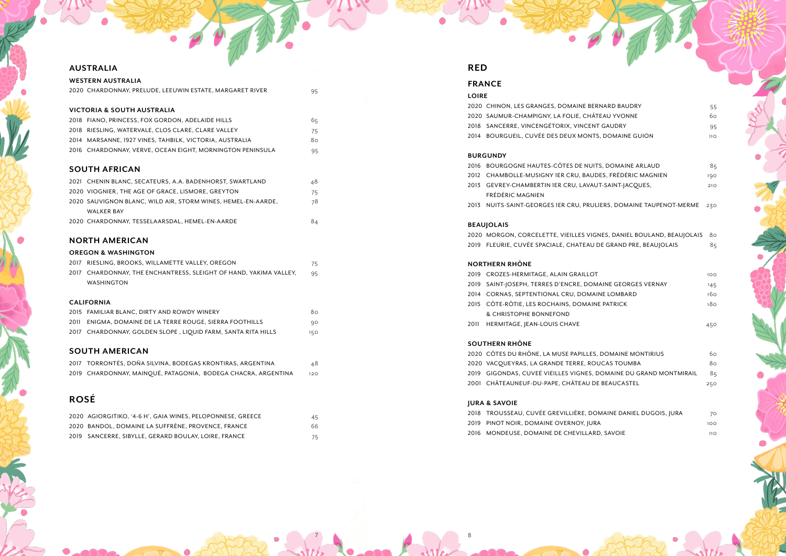2018 TROUSSEAU, CUVÉE GREVILLIÈRE, DO 2019 PINOT NOIR, DOMAINE OVERNOY, JUI 2016 MONDEUSE, DOMAINE DE CHEVILLAR

| <b>WESTERN AUSTRALIA</b> |                                                           |    |  |
|--------------------------|-----------------------------------------------------------|----|--|
|                          | 2020 CHARDONNAY, PRELUDE, LEEUWIN ESTATE, MARGARET RIVER  | 95 |  |
|                          | VICTORIA & SOUTH AUSTRALIA                                |    |  |
|                          |                                                           |    |  |
|                          | 2018 FIANO, PRINCESS, FOX GORDON, ADELAIDE HILLS          | 65 |  |
|                          | 2018 RIESLING, WATERVALE, CLOS CLARE, CLARE VALLEY        | 75 |  |
|                          | 2014 MARSANNE, 1927 VINES, TAHBILK, VICTORIA, AUSTRALIA   | 80 |  |
|                          | 2016 CHARDONNAY, VERVE, OCEAN EIGHT, MORNINGTON PENINSULA | 95 |  |
|                          |                                                           |    |  |
|                          | <b>SOUTH AFRICAN</b>                                      |    |  |
|                          | 2021 CHENIN BLANC, SECATEURS, A.A. BADENHORST, SWARTLAND  | 48 |  |

## **AUSTRALIA**

| ZVZI – CHENIN DEANC, JECATEVICJ, A.A. DADENHOICJ I. JWAICLEAND | 40. |
|----------------------------------------------------------------|-----|
| 2020 VIOGNIER, THE AGE OF GRACE, LISMORE, GREYTON              | 75  |
| 2020 SAUVIGNON BLANC, WILD AIR, STORM WINES, HEMEL-EN-AARDE.   | 78  |
| <b>WALKER BAY</b>                                              |     |
| 2020 CHARDONNAY, TESSELAARSDAL, HEMEL-EN-AARDE                 | 84  |

| 2017 | RIESLING, BROOKS, WILLAMETTE VALLEY, OREGON                       | 75  |
|------|-------------------------------------------------------------------|-----|
|      | 2017 CHARDONNAY, THE ENCHANTRESS, SLEIGHT OF HAND, YAKIMA VALLEY, | 95  |
|      | <b>WASHINGTON</b>                                                 |     |
|      |                                                                   |     |
|      | <b>CALIFORNIA</b>                                                 |     |
|      | 2015 FAMILIAR BLANC, DIRTY AND ROWDY WINERY                       | 80  |
| 2011 | ENIGMA, DOMAINE DE LA TERRE ROUGE, SIERRA FOOTHILLS               | 90  |
|      | 2017 CHARDONNAY, GOLDEN SLOPE, LIQUID FARM, SANTA RITA HILLS      | 150 |
|      |                                                                   |     |

## **NORTH AMERICAN**

## **OREGON & WASHINGTON**

- 2013 GEVREY-CHAMBERTIN 1ER CRU, LAVAI
- FRÉDÉRIC MAGNIEN

# **SOUTH AMERICAN**

| 2017 TORRONTÉS, DOÑA SILVINA, BODEGAS KRONTIRAS, ARGENTINA    | 48  |
|---------------------------------------------------------------|-----|
| 2019 CHARDONNAY, MAINQUÉ, PATAGONIA, BODEGA CHACRA, ARGENTINA | 120 |

# **ROSÉ**

- 2019 SAINT-JOSEPH, TERRES D'ENCRE, DOM
- 2014 CORNAS, SEPTENTIONAL CRU, DOMA
- 2015 CÔTE-RÔTIE, LES ROCHAINS, DOMAIN & CHRISTOPHE BONNEFOND
- 2011 HERMITAGE, JEAN-LOUIS CHAVE 450

| 2020 AGIORGITIKO. '4-6 H'. GAIA WINES. PELOPONNESE. GREECE | 45 |
|------------------------------------------------------------|----|
| 2020 BANDOL, DOMAINE LA SUFFRÈNE, PROVENCE, FRANCE         | 66 |
| 2019 SANCERRE, SIBYLLE, GERARD BOULAY, LOIRE, FRANCE       | 75 |

## **RED**

## **FRANCE**

| LOIRE |                                                     |                 |
|-------|-----------------------------------------------------|-----------------|
|       | 2020 CHINON, LES GRANGES, DOMAINE BERNARD BAUDRY    | 55              |
|       | 2020 SAUMUR-CHAMPIGNY, LA FOLIE, CHÂTEAU YVONNE     | 60.             |
|       | 2018 SANCERRE, VINCENGÉTORIX, VINCENT GAUDRY        | 95              |
|       | 2014 BOURGUEIL, CUVÉE DES DEUX MONTS, DOMAINE GUION | 11 <sub>O</sub> |
|       |                                                     |                 |

| TS. DOMAINE ARLAUD    | 85  |
|-----------------------|-----|
| DES, FRÉDÉRIC MAGNIEN | 190 |
| UT-SAINT-JACQUES,     | 210 |
|                       |     |

## **BURGUNDY**

2016 BOURGOGNE HAUTES-CÔTES DE NUI 2012 CHAMBOLLE-MUSIGNY 1ER CRU, BAU

2013 NUITS-SAINT-GEORGES 1ER CRU, PRULIERS, DOMAINE TAUPENOT-MERME 230

| GNES, DANIEL BOULAND, BEAUJOLAIS 80 |    |
|-------------------------------------|----|
| DE GRAND PRE, BEAUJOLAIS            | 85 |

| ıТ                   | 10C |
|----------------------|-----|
| MAINE GEORGES VERNAY | 145 |
| <b>\INE LOMBARD</b>  | 16с |
| NE PATRICK           | 18c |
|                      |     |

| S. DOMAINE MONTIRIUS        | 6с  |
|-----------------------------|-----|
| )UCAS TOUMBA                | 8c  |
| DOMAINE DU GRAND MONTMIRAIL | 8ء  |
| )E BEAUCASTEL               | 25C |
|                             |     |

| OMAINE DANIEL DUGOIS, JURA | 7С   |
|----------------------------|------|
| RA                         | 10C  |
| २D. SAVOIE                 | 11 C |

### **BEAUJOLAIS**

2020 MORGON, CORCELETTE, VIEILLES VIG 2019 FLEURIE, CUVÉE SPACIALE, CHATEAU

## **NORTHERN RHÔNE**

2019 CROZES-HERMITAGE, ALAIN GRAILLOT

## **SOUTHERN RHÔNE**

2020 CÔTES DU RHÔNE, LA MUSE PAPILLES 2020 VACQUEYRAS, LA GRANDE TERRE, RO 2019 GIGONDAS, CUVEÉ VIEILLES VIGNES, 2001 CHÂTEAUNEUF-DU-PAPE, CHÂTEAU D

## **JURA & SAVOIE**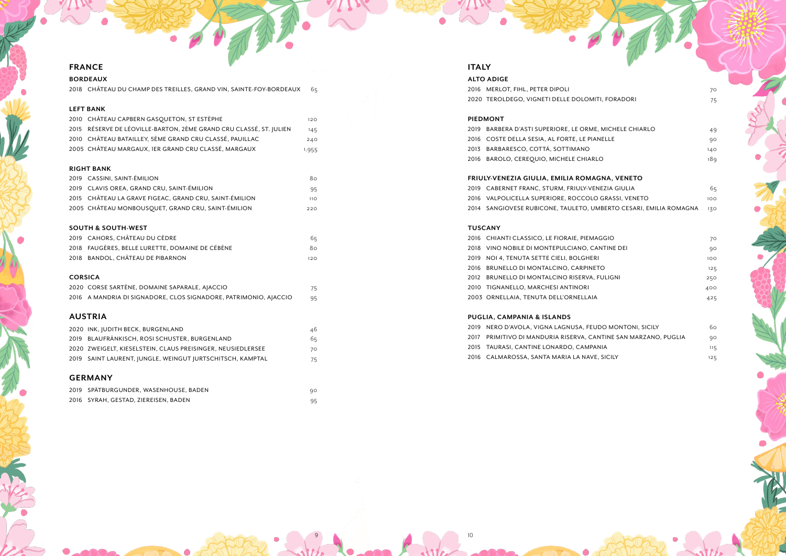# **FRANCE**

## **BORDEAUX**

2018 CHÂTEAU DU CHAMP DES TREILLES, GRAND VIN, SAINTE-FOY-BORDEAUX 65

## **LEFT BANK**

| 2010   CHÂTEAU CAPBERN GASQUETON, ST ESTÈPHE                       | 120   |
|--------------------------------------------------------------------|-------|
| 2015 RÉSERVE DE LÉOVILLE-BARTON, 2ÈME GRAND CRU CLASSÉ, ST. JULIEN | 145   |
| 2010    CHÂTEAU BATAILLEY, 5ÈME GRAND CRU CLASSÉ, PAUILLAC         | 240   |
| 2005 CHÂTEAU MARGAUX, IER GRAND CRU CLASSÉ, MARGAUX                | 1,955 |

## **RIGHT BANK**

| 2019 CASSINI, SAINT-ÉMILION                            | 8റ.             |
|--------------------------------------------------------|-----------------|
| 2019 CLAVIS OREA, GRAND CRU, SAINT-ÉMILION             | 95              |
| 2015 CHÂTEAU LA GRAVE FIGEAC, GRAND CRU, SAINT-ÉMILION | 11 <sub>O</sub> |
| 2005 CHÂTEAU MONBOUSQUET, GRAND CRU, SAINT-ÉMILION     | つつの             |

## **SOUTH & SOUTH-WEST**

| 2019 CAHORS, CHÂTEAU DU CÈDRE                   | 65  |
|-------------------------------------------------|-----|
| 2018 FAUGÈRES, BELLE LURETTE, DOMAINE DE CÉBÈNE | 8റ. |
| 2018 BANDOL, CHÂTEAU DE PIBARNON                | 120 |

## **CORSICA**

| 2020 CORSE SARTÈNE, DOMAINE SAPARALE, AJACCIO                    | 75. |
|------------------------------------------------------------------|-----|
| 2016 A MANDRIA DI SIGNADORE, CLOS SIGNADORE, PATRIMONIO, AJACCIO | 95  |

# **AUSTRIA**

| <b>GERMANY</b> |                                                             |    |
|----------------|-------------------------------------------------------------|----|
|                | 2019 SAINT LAURENT, JUNGLE, WEINGUT JURTSCHITSCH, KAMPTAL   | 75 |
|                | 2020 ZWEIGELT, KIESELSTEIN, CLAUS PREISINGER, NEUSIEDLERSEE | 70 |
|                | 2019 BLAUFRÄNKISCH, ROSI SCHUSTER, BURGENLAND               | 65 |
|                | 2020 INK, JUDITH BECK, BURGENLAND                           | 46 |

# SPÄTBURGUNDER, WASENHOUSE, BADEN 90

| ZUI9 SPAIBURGUNDER.WASENHOUSE.BADEN  |  |
|--------------------------------------|--|
| 2016 SYRAH, GESTAD, ZIEREISEN, BADEN |  |

# **ITALY**

# **ALTO ADIGE**

## $T$

|      | 2016 MERLOT, FIHL, PETER DIPOLI                                   | 70  |
|------|-------------------------------------------------------------------|-----|
|      | 2020 TEROLDEGO, VIGNETI DELLE DOLOMITI, FORADORI                  | 75  |
|      | <b>PIEDMONT</b>                                                   |     |
| 2019 | BARBERA D'ASTI SUPERIORE, LE ORME, MICHELE CHIARLO                | 49  |
|      | 2016 COSTE DELLA SESIA, AL FORTE, LE PIANELLE                     | 90  |
|      | 2013 BARBARESCO, COTTÁ, SOTTIMANO                                 | 140 |
|      | 2016 BAROLO, CEREQUIO, MICHELE CHIARLO                            | 189 |
|      | FRIULY-VENEZIA GIULIA, EMILIA ROMAGNA, VENETO                     |     |
|      | 2019 CABERNET FRANC, STURM, FRIULY-VENEZIA GIULIA                 | 65  |
|      | 2016 VALPOLICELLA SUPERIORE, ROCCOLO GRASSI, VENETO               | 100 |
|      | 2014 SANGIOVESE RUBICONE, TAULETO, UMBERTO CESARI, EMILIA ROMAGNA | 130 |
|      | <b>TUSCANY</b>                                                    |     |
|      | 2016 CHIANTI CLASSICO, LE FIORAIE, PIEMAGGIO                      | 70  |
|      | 2018 VINO NOBILE DI MONTEPULCIANO, CANTINE DEI                    | 90  |
|      | 2019 NOI 4, TENUTA SETTE CIELI, BOLGHERI                          | 100 |
|      | 2016 BRUNELLO DI MONTALCINO, CARPINETO                            | 125 |
| 2012 | BRUNELLO DI MONTALCINO RISERVA, FULIGNI                           | 250 |
|      | 2010 TIGNANELLO, MARCHESI ANTINORI                                | 400 |
|      | 2003 ORNELLAIA, TENUTA DELL'ORNELLAIA                             | 425 |
|      | PUGLIA, CAMPANIA & ISLANDS                                        |     |
|      | 2019 NERO D'AVOLA, VIGNA LAGNUSA, FEUDO MONTONI, SICILY           | 60  |
| 2017 | PRIMITIVO DI MANDURIA RISERVA, CANTINE SAN MARZANO, PUGLIA        | 90  |
|      | 2015 TAURASI, CANTINE LONARDO, CAMPANIA                           | 115 |
| 2016 | CALMAROSSA, SANTA MARIA LA NAVE, SICILY                           | 125 |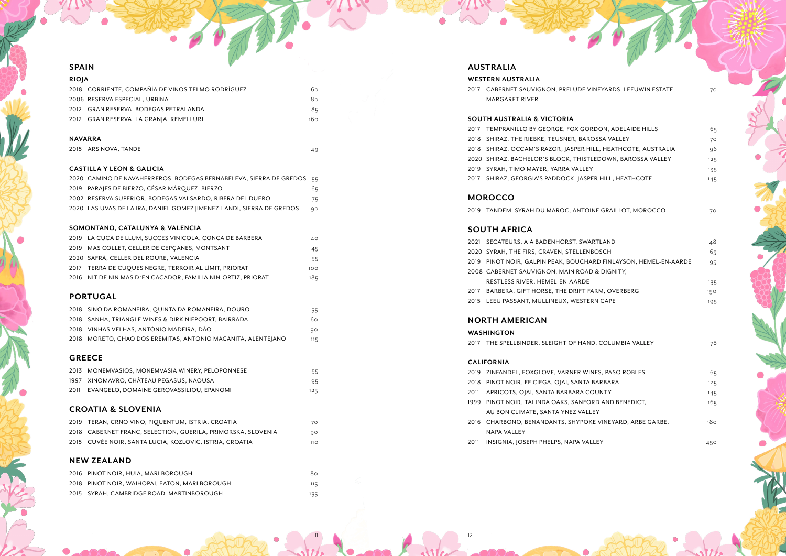### **SPAIN**

| <b>RIOIA</b> |                                                   |     |
|--------------|---------------------------------------------------|-----|
|              | 2018 CORRIENTE, COMPAÑÍA DE VINOS TELMO RODRÍGUEZ | 60  |
|              | 2006 RESERVA ESPECIAL, URBINA                     | 80  |
|              | 2012 GRAN RESERVA, BODEGAS PETRALANDA             | 85  |
|              | 2012 GRAN RESERVA, LA GRANJA, REMELLURI           | 160 |

### **NAVARRA**

2015 ARS NOVA, TANDE 49

### **CASTILLA Y LEON & GALICIA**

| 2020 CAMINO DE NAVAHERREROS, BODEGAS BERNABELEVA, SIERRA DE GREDOS     | 55 |
|------------------------------------------------------------------------|----|
| 2019 PARAJES DE BIERZO, CÉSAR MÁRQUEZ, BIERZO                          | 65 |
| 2002 RESERVA SUPERIOR, BODEGAS VALSARDO, RIBERA DEL DUERO              | 75 |
| 2020 LAS UVAS DE LA IRA, DANIEL GOMEZ   IMENEZ-LANDI, SIERRA DE GREDOS | 90 |
|                                                                        |    |

### **SOMONTANO, CATALUNYA & VALENCIA**

| 2019 LA CUCA DE LLUM, SUCCES VINICOLA, CONCA DE BARBERA         | 40  |
|-----------------------------------------------------------------|-----|
| 2019 MAS COLLET, CELLER DE CEPCANES, MONTSANT                   | 45  |
| 2020   SAFRÀ, CELLER DEL ROURE, VALENCIA                        | 55  |
| 2017 TERRA DE CUQUES NEGRE, TERROIR AL LÌMIT, PRIORAT           | 100 |
| 2016    NIT DE NIN MAS D`EN CACADOR, FAMILIA NIN-ORTIZ, PRIORAT | 185 |

| 2016 PINOT NOIR, HUIA, MARLBOROUGH            | 80  |
|-----------------------------------------------|-----|
| 2018 PINOT NOIR, WAIHOPAI, EATON, MARLBOROUGH | 115 |
| 2015 SYRAH, CAMBRIDGE ROAD, MARTINBOROUGH     | 135 |

## **PORTUGAL**

| 2018 SINO DA ROMANEIRA, QUINTA DA ROMANEIRA, DOURO           | 55  |
|--------------------------------------------------------------|-----|
| 2018 SANHA, TRIANGLE WINES & DIRK NIEPOORT, BAIRRADA         | 60  |
| 2018 VINHAS VELHAS, ANTÓNIO MADEIRA, DÃO                     | 90  |
| 2018 MORETO, CHAO DOS EREMITAS, ANTONIO MACANITA, ALENTEJANO | 115 |
|                                                              |     |

## **GREECE**

| 2013    MONEMVASIOS. MONEMVASIA WINERY. PELOPONNESE | 55  |
|-----------------------------------------------------|-----|
| 1997 - XINOMAVRO, CHÂTEAU PEGASUS, NAOUSA           | 95  |
| 2011     EVANGELO. DOMAINE GEROVASSILIOU. EPANOMI   | 125 |

## **CROATIA & SLOVENIA**

| 2019   TERAN, CRNO VINO, PIQUENTUM, ISTRIA, CROATIA            | 70   |
|----------------------------------------------------------------|------|
| 2018   CABERNET FRANC. SELECTION. GUERILA. PRIMORSKA. SLOVENIA | 90   |
| 2015 CUVÉE NOIR, SANTA LUCIA, KOZLOVIC, ISTRIA, CROATIA        | 11 O |

## **NEW ZEALAND**

## **AUSTRALIA**

### **WESTERN AUSTRALIA**

## **SOUTH AUSTRALIA & VICTORIA**

|      | 2017 CABERNET SAUVIGNON, PRELUDE VINEYARDS, LEEUWIN ESTATE, | 70  |
|------|-------------------------------------------------------------|-----|
|      | <b>MARGARET RIVER</b>                                       |     |
|      |                                                             |     |
|      | <b>SOUTH AUSTRALIA &amp; VICTORIA</b>                       |     |
| 2017 | TEMPRANILLO BY GEORGE, FOX GORDON, ADELAIDE HILLS           | 65  |
| 2018 | SHIRAZ, THE RIEBKE, TEUSNER, BAROSSA VALLEY                 | 70  |
| 2018 | SHIRAZ, OCCAM'S RAZOR, JASPER HILL, HEATHCOTE, AUSTRALIA    | 96  |
|      | 2020 SHIRAZ, BACHELOR'S BLOCK, THISTLEDOWN, BAROSSA VALLEY  | 125 |
|      | 2019 SYRAH, TIMO MAYER, YARRA VALLEY                        | 135 |
|      | 2017 SHIRAZ, GEORGIA'S PADDOCK, JASPER HILL, HEATHCOTE      | 145 |
|      |                                                             |     |
|      | <b>MOROCCO</b>                                              |     |
|      | 2019 TANDEM, SYRAH DU MAROC, ANTOINE GRAILLOT, MOROCCO      | 70  |
|      |                                                             |     |
|      | <b>SOUTH AFRICA</b>                                         |     |
|      | 2021 SECATEURS, A A BADENHORST, SWARTLAND                   | 48  |
|      | 2020 SYRAH, THE FIRS, CRAVEN, STELLENBOSCH                  | 65  |
| 2019 | PINOT NOIR, GALPIN PEAK, BOUCHARD FINLAYSON, HEMEL-EN-AARDE | 95  |
|      | 2008 CABERNET SAUVIGNON, MAIN ROAD & DIGNITY,               |     |
|      | RESTLESS RIVER, HEMEL-EN-AARDE                              | 135 |
|      | 2017 BARBERA, GIFT HORSE, THE DRIFT FARM, OVERBERG          | 150 |
|      | 2015 LEEU PASSANT, MULLINEUX, WESTERN CAPE                  | 195 |
|      |                                                             |     |
|      | <b>NORTH AMERICAN</b>                                       |     |
|      | <b>WASHINGTON</b>                                           |     |
|      | 2017 THE SPELLBINDER, SLEIGHT OF HAND, COLUMBIA VALLEY      | 78  |
|      |                                                             |     |
|      | <b>CALIFORNIA</b>                                           |     |
|      | 2019 ZINFANDEL, FOXGLOVE, VARNER WINES, PASO ROBLES         | 65  |
|      |                                                             |     |

| <b>ARBARA</b>           | 125 |
|-------------------------|-----|
| UNTY                    | 145 |
| D AND BENEDICT.         | 165 |
| ٢Y                      |     |
| E VINEYARD, ARBE GARBE, | 180 |
|                         |     |
| -EY                     | 450 |
|                         |     |

## **MOROCCO**

## **SOUTH AFRICA**

## **NORTH AMERICAN**

## **WASHINGTON**

### **CALIFORNIA**

- 2019 ZINFANDEL, FOXGLOVE, VARNER WINE
- 2018 PINOT NOIR, FE CIEGA, OJAI, SANTA B.
- 2011 APRICOTS, OJAI, SANTA BARBARA CO
- 1999 PINOT NOIR, TALINDA OAKS, SANFOR
- AU BON CLIMATE, SANTA YNEZ VALLE 2016 CHARBONO, BENANDANTS, SHYPOKE
	- NAPA VALLEY
- 2011 INSIGNIA, JOSEPH PHELPS, NAPA VALL

 $11$  12